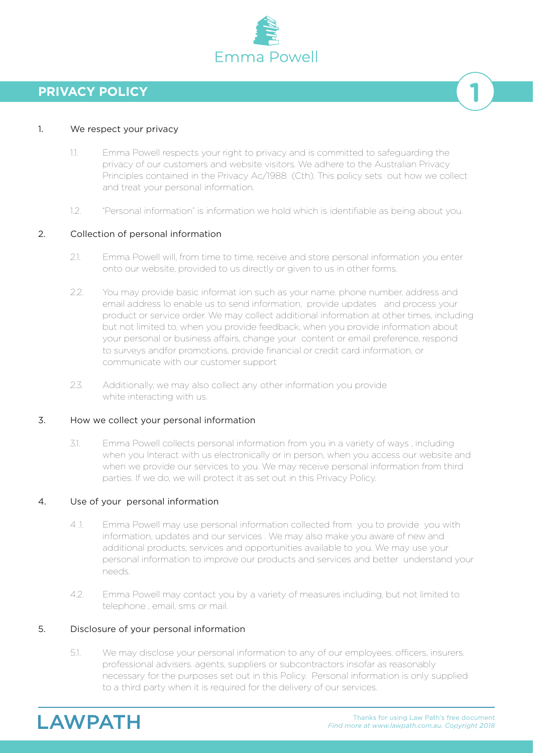

# **PRIVACY POLICY**

### 1. We respect your privacy

- 1.1. Emma Powell respects your right to privacy and is committed to safeguarding the privacy of our customers and website visitors. We adhere to the Australian Privacy Principles contained in the Privacy Ac/1988 (Cth). This policy sets out how we collect and treat your personal information.
- 1.2. "Personal information" is information we hold which is identifiable as being about you.

### 2. Collection of personal information

- 2.1. Emma Powell will, from time to time, receive and store personal information you enter onto our website, provided to us directly or given to us in other forms.
- 2.2. You may provide basic informat ion such as your name. phone number, address and email address lo enable us to send information, provide updates and process your product or service order. We may collect additional information at other times, including but not limited to, when you provide feedback, when you provide information about your personal or business affairs, change your content or email preference, respond to surveys andfor promotions, provide financial or credit card information, or communicate with our customer support
- 2.3. Additionally, we may also collect any other information you provide white interacting with us.

#### 3. How we collect your personal information

3.1. Emma Powell collects personal information from you in a variety of ways , including when you Interact with us electronically or in person, when you access our website and when we provide our services to you. We may receive personal information from third parties. If we do, we will protect it as set out in this Privacy Policy.

### 4. Use of your personal information

- 4 .1. Emma Powell may use personal information collected from you to provide you with information, updates and our services . We may also make you aware of new and additional products, services and opportunities available to you. We may use your personal information to improve our products and services and better understand your needs.
- 4.2. Emma Powell may contact you by a variety of measures including, but not limited to telephone , email, sms or mail.

#### 5. Disclosure of your personal information

5.1. We may disclose your personal information to any of our employees, officers, insurers. professional advisers. agents, suppliers or subcontractors insofar as reasonably necessary for the purposes set out in this Policy. Personal information is only supplied to a third party when it is required for the delivery of our services.

**LAWPATH** 

**1**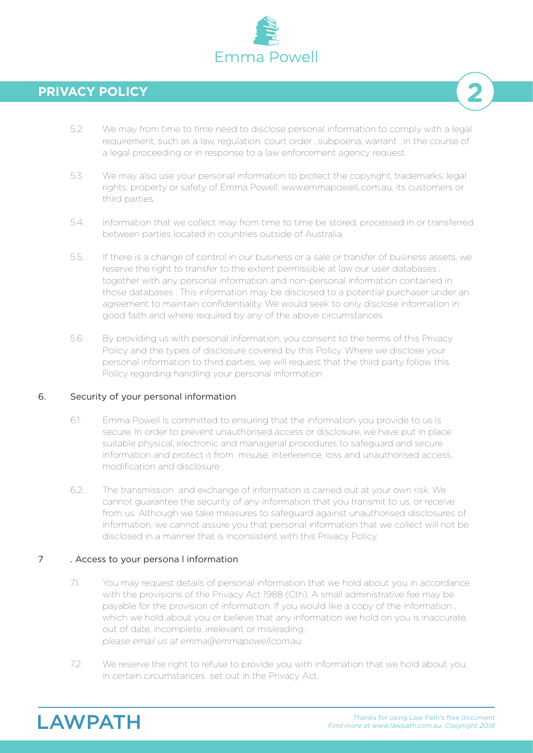

# **PRIVACY POLICY**

- 5.2. We may from time to time need to disclose personal information to comply with a legal requirement, such as a law, regulation, court order , subpoena, warrant , in the course of a legal proceeding or in response to a law enforcement agency request.
- 5.3. We may also use your personal information to protect the copyright, trademarks, legal rights, property or safety of Emma Powell, www.emmapowelLcom.au, its customers or third parties.
- 5.4. Information that we collect may from time to time be stored, processed in or transferred between parties located in countries outside of Australia.
- 5.5. If there is a change of control in our business or a sale or transfer of business assets, we reserve the right to transfer to the extent permissible at law our user databases , together with any personal information and non-personal information contained in those databases . This information may be disclosed to a potential purchaser under an agreement to maintain confidentiality. We would seek to only disclose information in good faith and where required by any of the above circumstances
- 5.6. By providing us with personal information, you consent to the terms of this Privacy Policy and the types of disclosure covered by this Policy. Where we disclose your personal information to third parties, we will request that the third party follow this Policy regarding handling your personal information .

### 6. Security of your personal information

- 6.1. Emma Powell is committed to ensuring that the information you provide to us is secure. In order to prevent unauthorised access or disclosure, we have put in place suitable physical, electronic and managerial procedures to safeguard and secure information and protect it from misuse, interlerence, loss and unauthorised access, modification and disclosure .
- 6.2. The transmission and exchange of information is carried out at your own risk. We cannot guarantee the security of any information that you transmit to us, or receive from us. Although we take measures to safeguard against unauthorised disclosures of information, we cannot assure you that personal information that we collect will not be disclosed in a manner that is inconsistent with this Privacy Policy.

## 7 . Access to your persona l information

- 7.1. You may request details of personal information that we hold about you in accordance with the provisions of the Privacy Act 1988 (Cth). A small administrative fee may be payable for the provision of information. If you would like a copy of the information , which we hold about you or believe that any information we hold on you is inaccurate, out of date, incomplete, irrelevant or misleading,  *please email us at emma@emmapowell.com.au*
- 7.2. We reserve the right to refuse to provide you with information that we hold about you, in certain circumstances set out in the Privacy Act.



**2**